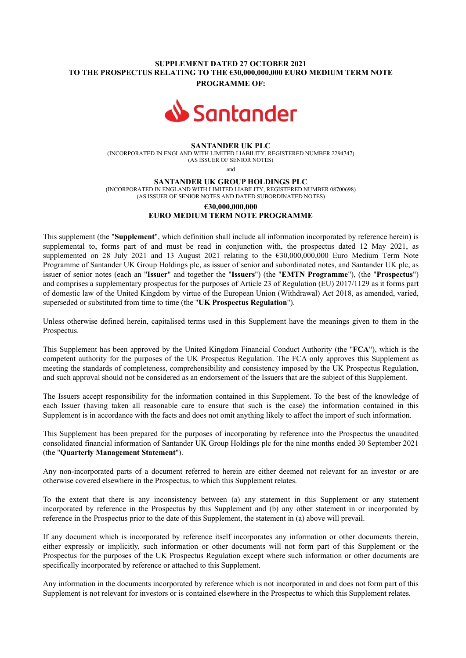## SUPPLEMENT DATED 27 OCTOBER 2021 TO THE PROSPECTUS RELATING TO THE €30,000,000,000 EURO MEDIUM TERM NOTE PROGRAMME OF:



### SANTANDER UK PLC

(INCORPORATED IN ENGLAND WITH LIMITED LIABILITY, REGISTERED NUMBER 2294747) (AS ISSUER OF SENIOR NOTES)

and

#### SANTANDER UK GROUP HOLDINGS PLC

(INCORPORATED IN ENGLAND WITH LIMITED LIABILITY, REGISTERED NUMBER 08700698) (AS ISSUER OF SENIOR NOTES AND DATED SUBORDINATED NOTES)

# €30,000,000,000 EURO MEDIUM TERM NOTE PROGRAMME

This supplement (the "Supplement", which definition shall include all information incorporated by reference herein) is supplemental to, forms part of and must be read in conjunction with, the prospectus dated 12 May 2021, as supplemented on 28 July 2021 and 13 August 2021 relating to the €30,000,000,000 Euro Medium Term Note Programme of Santander UK Group Holdings plc, as issuer of senior and subordinated notes, and Santander UK plc, as issuer of senior notes (each an "Issuer" and together the "Issuers") (the "EMTN Programme"), (the "Prospectus") and comprises a supplementary prospectus for the purposes of Article 23 of Regulation (EU) 2017/1129 as it forms part of domestic law of the United Kingdom by virtue of the European Union (Withdrawal) Act 2018, as amended, varied, superseded or substituted from time to time (the "UK Prospectus Regulation").

Unless otherwise defined herein, capitalised terms used in this Supplement have the meanings given to them in the Prospectus.

This Supplement has been approved by the United Kingdom Financial Conduct Authority (the "FCA"), which is the competent authority for the purposes of the UK Prospectus Regulation. The FCA only approves this Supplement as meeting the standards of completeness, comprehensibility and consistency imposed by the UK Prospectus Regulation, and such approval should not be considered as an endorsement of the Issuers that are the subject of this Supplement.

The Issuers accept responsibility for the information contained in this Supplement. To the best of the knowledge of each Issuer (having taken all reasonable care to ensure that such is the case) the information contained in this Supplement is in accordance with the facts and does not omit anything likely to affect the import of such information.

This Supplement has been prepared for the purposes of incorporating by reference into the Prospectus the unaudited consolidated financial information of Santander UK Group Holdings plc for the nine months ended 30 September 2021 (the "Quarterly Management Statement").

Any non-incorporated parts of a document referred to herein are either deemed not relevant for an investor or are otherwise covered elsewhere in the Prospectus, to which this Supplement relates.

To the extent that there is any inconsistency between (a) any statement in this Supplement or any statement incorporated by reference in the Prospectus by this Supplement and (b) any other statement in or incorporated by reference in the Prospectus prior to the date of this Supplement, the statement in (a) above will prevail.

If any document which is incorporated by reference itself incorporates any information or other documents therein, either expressly or implicitly, such information or other documents will not form part of this Supplement or the Prospectus for the purposes of the UK Prospectus Regulation except where such information or other documents are specifically incorporated by reference or attached to this Supplement.

Any information in the documents incorporated by reference which is not incorporated in and does not form part of this Supplement is not relevant for investors or is contained elsewhere in the Prospectus to which this Supplement relates.